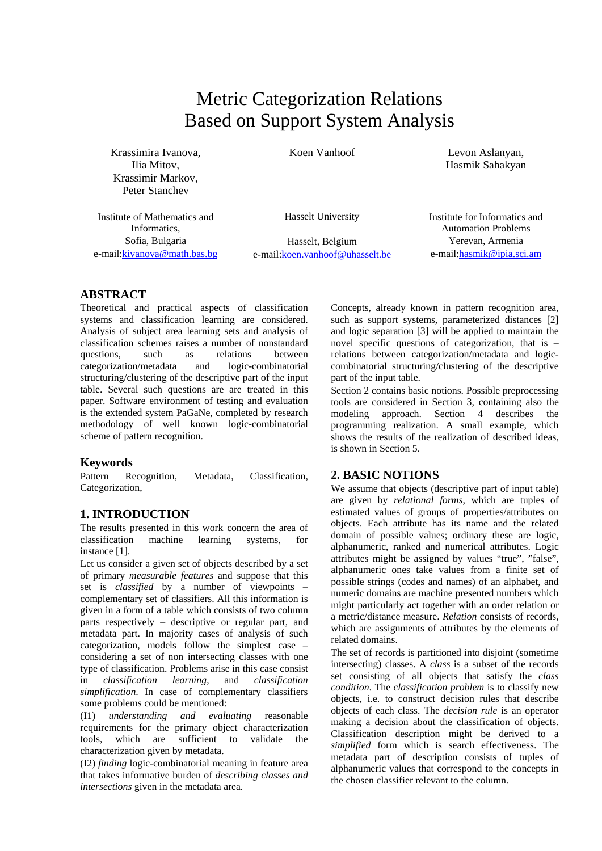# Metric Categorization Relations Based on Support System Analysis

Krassimira Ivanova, Ilia Mitov, Krassimir Markov, Peter Stanchev

Koen Vanhoof Levon Aslanyan, Hasmik Sahakyan

Institute of Mathematics and Informatics, Sofia, Bulgaria e-mail:kivanova@math.bas.bg Hasselt University

Hasselt, Belgium e-mail:koen.vanhoof@uhasselt.be Institute for Informatics and Automation Problems Yerevan, Armenia e-mail:hasmik@ipia.sci.am

# **ABSTRACT**

Theoretical and practical aspects of classification systems and classification learning are considered. Analysis of subject area learning sets and analysis of classification schemes raises a number of nonstandard questions, such as relations between categorization/metadata and logic-combinatorial structuring/clustering of the descriptive part of the input table. Several such questions are are treated in this paper. Software environment of testing and evaluation is the extended system PaGaNe, completed by research methodology of well known logic-combinatorial scheme of pattern recognition.

# **Keywords**

Pattern Recognition, Metadata, Classification, Categorization,

# **1. INTRODUCTION**

The results presented in this work concern the area of classification machine learning systems, for instance [1].

Let us consider a given set of objects described by a set of primary *measurable features* and suppose that this set is *classified* by a number of viewpoints – complementary set of classifiers. All this information is given in a form of a table which consists of two column parts respectively – descriptive or regular part, and metadata part. In majority cases of analysis of such categorization, models follow the simplest case – considering a set of non intersecting classes with one type of classification. Problems arise in this case consist in *classification learning*, and *classification simplification*. In case of complementary classifiers some problems could be mentioned:

(I1) *understanding and evaluating* reasonable requirements for the primary object characterization tools, which are sufficient to validate the characterization given by metadata.

(I2) *finding* logic-combinatorial meaning in feature area that takes informative burden of *describing classes and intersections* given in the metadata area.

Concepts, already known in pattern recognition area, such as support systems, parameterized distances [2] and logic separation [3] will be applied to maintain the novel specific questions of categorization, that is – relations between categorization/metadata and logiccombinatorial structuring/clustering of the descriptive part of the input table.

Section 2 contains basic notions. Possible preprocessing tools are considered in Section 3, containing also the modeling approach. Section 4 describes the programming realization. A small example, which shows the results of the realization of described ideas, is shown in Section 5.

## **2. BASIC NOTIONS**

We assume that objects (descriptive part of input table) are given by *relational forms*, which are tuples of estimated values of groups of properties/attributes on objects. Each attribute has its name and the related domain of possible values; ordinary these are logic, alphanumeric, ranked and numerical attributes. Logic attributes might be assigned by values "true", "false", alphanumeric ones take values from a finite set of possible strings (codes and names) of an alphabet, and numeric domains are machine presented numbers which might particularly act together with an order relation or a metric/distance measure. *Relation* consists of records, which are assignments of attributes by the elements of related domains.

The set of records is partitioned into disjoint (sometime intersecting) classes. A *class* is a subset of the records set consisting of all objects that satisfy the *class condition*. The *classification problem* is to classify new objects, i.e. to construct decision rules that describe objects of each class. The *decision rule* is an operator making a decision about the classification of objects. Classification description might be derived to a *simplified* form which is search effectiveness. The metadata part of description consists of tuples of alphanumeric values that correspond to the concepts in the chosen classifier relevant to the column.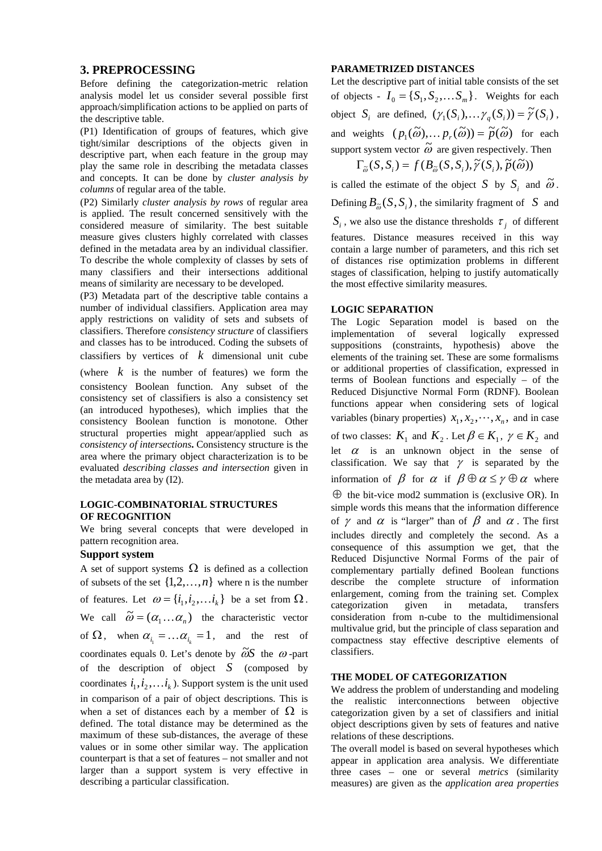#### **3. PREPROCESSING**

Before defining the categorization-metric relation analysis model let us consider several possible first approach/simplification actions to be applied on parts of the descriptive table.

(P1) Identification of groups of features, which give tight/similar descriptions of the objects given in descriptive part, when each feature in the group may play the same role in describing the metadata classes and concepts. It can be done by *cluster analysis by columns* of regular area of the table.

(P2) Similarly *cluster analysis by rows* of regular area is applied. The result concerned sensitively with the considered measure of similarity. The best suitable measure gives clusters highly correlated with classes defined in the metadata area by an individual classifier. To describe the whole complexity of classes by sets of many classifiers and their intersections additional means of similarity are necessary to be developed.

(P3) Metadata part of the descriptive table contains a number of individual classifiers. Application area may apply restrictions on validity of sets and subsets of classifiers. Therefore *consistency structure* of classifiers and classes has to be introduced. Coding the subsets of classifiers by vertices of *k* dimensional unit cube

(where *k* is the number of features) we form the consistency Boolean function. Any subset of the consistency set of classifiers is also a consistency set (an introduced hypotheses), which implies that the consistency Boolean function is monotone. Other structural properties might appear/applied such as *consistency of intersections***.** Consistency structure is the area where the primary object characterization is to be evaluated *describing classes and intersection* given in the metadata area by (I2).

#### **LOGIC-COMBINATORIAL STRUCTURES OF RECOGNITION**

We bring several concepts that were developed in pattern recognition area.

#### **Support system**

A set of support systems  $\Omega$  is defined as a collection of subsets of the set  $\{1,2,\ldots,n\}$  where n is the number of features. Let  $\omega = \{i_1, i_2, \dots, i_k\}$  be a set from  $\Omega$ . We call  $\tilde{\omega} = (\alpha_1 ... \alpha_n)$  the characteristic vector of  $\Omega$ , when  $\alpha_{i} = \dots = \alpha_{i} = 1$ , and the rest of coordinates equals 0. Let's denote by  $\tilde{\omega}S$  the  $\omega$ -part of the description of object *S* (composed by coordinates  $i_1, i_2, \ldots, i_k$ ). Support system is the unit used in comparison of a pair of object descriptions. This is when a set of distances each by a member of  $\Omega$  is defined. The total distance may be determined as the maximum of these sub-distances, the average of these values or in some other similar way. The application counterpart is that a set of features – not smaller and not larger than a support system is very effective in describing a particular classification.

#### **PARAMETRIZED DISTANCES**

Let the descriptive part of initial table consists of the set of objects -  $I_0 = \{S_1, S_2, \dots S_m\}$ . Weights for each object *S<sub>i</sub>* are defined,  $(\gamma_1(S_i), \dots \gamma_n(S_i)) = \tilde{\gamma}(S_i)$ , and weights  $(p_1(\tilde{\omega}), \dots p_r(\tilde{\omega})) = \tilde{p}(\tilde{\omega})$  for each support system vector  $\tilde{\omega}$  are given respectively. Then  $\Gamma_{\tilde{\omega}}(S, S_i) = f(B_{\tilde{\omega}}(S, S_i), \tilde{\gamma}(S_i), \tilde{p}(\tilde{\omega}))$ 

is called the estimate of the object  $S$  by  $S_i$  and  $\tilde{\omega}$ . Defining  $B_{\tilde{\omega}}(S, S_i)$ , the similarity fragment of *S* and  $S_i$ , we also use the distance thresholds  $\tau_i$  of different features. Distance measures received in this way contain a large number of parameters, and this rich set of distances rise optimization problems in different stages of classification, helping to justify automatically the most effective similarity measures.

#### **LOGIC SEPARATION**

The Logic Separation model is based on the implementation of several logically expressed suppositions (constraints, hypothesis) above the elements of the training set. These are some formalisms or additional properties of classification, expressed in terms of Boolean functions and especially – of the Reduced Disjunctive Normal Form (RDNF). Boolean functions appear when considering sets of logical variables (binary properties)  $x_1, x_2, \dots, x_n$ , and in case of two classes:  $K_1$  and  $K_2$ . Let  $\beta \in K_1$ ,  $\gamma \in K_2$  and let  $\alpha$  is an unknown object in the sense of classification. We say that  $\gamma$  is separated by the information of  $\beta$  for  $\alpha$  if  $\beta \oplus \alpha \leq \gamma \oplus \alpha$  where  $\oplus$  the bit-vice mod2 summation is (exclusive OR). In simple words this means that the information difference of  $\gamma$  and  $\alpha$  is "larger" than of  $\beta$  and  $\alpha$ . The first includes directly and completely the second. As a consequence of this assumption we get, that the Reduced Disjunctive Normal Forms of the pair of complementary partially defined Boolean functions describe the complete structure of information enlargement, coming from the training set. Complex categorization given in metadata, transfers consideration from n-cube to the multidimensional multivalue grid, but the principle of class separation and compactness stay effective descriptive elements of classifiers.

#### **THE MODEL OF CATEGORIZATION**

We address the problem of understanding and modeling the realistic interconnections between objective categorization given by a set of classifiers and initial object descriptions given by sets of features and native relations of these descriptions.

The overall model is based on several hypotheses which appear in application area analysis. We differentiate three cases – one or several *metrics* (similarity measures) are given as the *application area properties*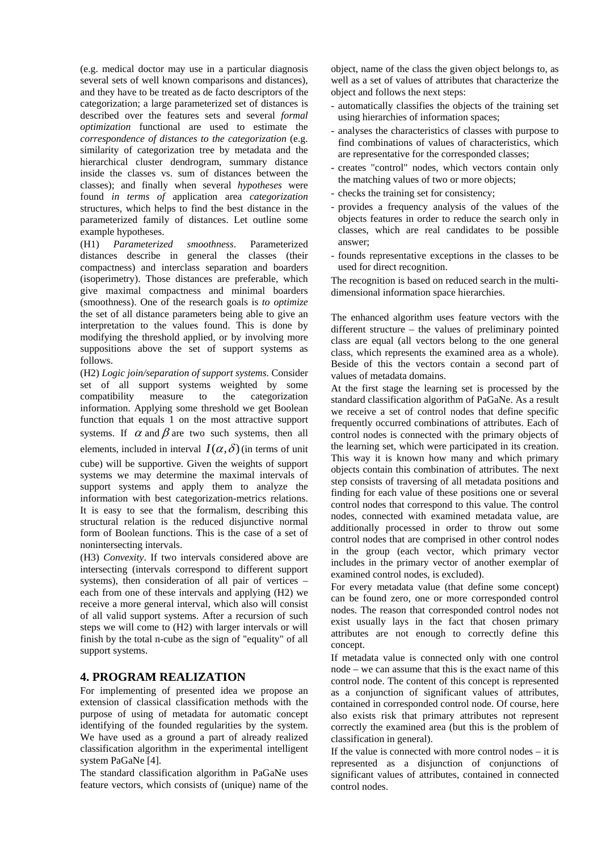(e.g. medical doctor may use in a particular diagnosis several sets of well known comparisons and distances), and they have to be treated as de facto descriptors of the categorization; a large parameterized set of distances is described over the features sets and several *formal optimization* functional are used to estimate the *correspondence of distances to the categorization* (e.g. similarity of categorization tree by metadata and the hierarchical cluster dendrogram, summary distance inside the classes vs. sum of distances between the classes); and finally when several *hypotheses* were found *in terms of* application area *categorization* structures, which helps to find the best distance in the parameterized family of distances. Let outline some example hypotheses.

(H1) *Parameterized smoothness*. Parameterized distances describe in general the classes (their compactness) and interclass separation and boarders (isoperimetry). Those distances are preferable, which give maximal compactness and minimal boarders (smoothness). One of the research goals is *to optimize* the set of all distance parameters being able to give an interpretation to the values found. This is done by modifying the threshold applied, or by involving more suppositions above the set of support systems as follows.

(H2) *Logic join/separation of support systems*. Consider set of all support systems weighted by some compatibility measure to the categorization information. Applying some threshold we get Boolean function that equals 1 on the most attractive support systems. If  $\alpha$  and  $\beta$  are two such systems, then all elements, included in interval  $I(\alpha,\delta)$  (in terms of unit cube) will be supportive. Given the weights of support systems we may determine the maximal intervals of support systems and apply them to analyze the information with best categorization-metrics relations. It is easy to see that the formalism, describing this structural relation is the reduced disjunctive normal form of Boolean functions. This is the case of a set of nonintersecting intervals.

(H3) *Convexity*. If two intervals considered above are intersecting (intervals correspond to different support systems), then consideration of all pair of vertices – each from one of these intervals and applying (H2) we receive a more general interval, which also will consist of all valid support systems. After a recursion of such steps we will come to (H2) with larger intervals or will finish by the total n-cube as the sign of "equality" of all support systems.

## **4. PROGRAM REALIZATION**

For implementing of presented idea we propose an extension of classical classification methods with the purpose of using of metadata for automatic concept identifying of the founded regularities by the system. We have used as a ground a part of already realized classification algorithm in the experimental intelligent system PaGaNe [4].

The standard classification algorithm in PaGaNe uses feature vectors, which consists of (unique) name of the object, name of the class the given object belongs to, as well as a set of values of attributes that characterize the object and follows the next steps:

- automatically classifies the objects of the training set using hierarchies of information spaces;
- analyses the characteristics of classes with purpose to find combinations of values of characteristics, which are representative for the corresponded classes;
- creates "control" nodes, which vectors contain only the matching values of two or more objects;
- checks the training set for consistency;
- provides a frequency analysis of the values of the objects features in order to reduce the search only in classes, which are real candidates to be possible answer;
- founds representative exceptions in the classes to be used for direct recognition.

The recognition is based on reduced search in the multidimensional information space hierarchies.

The enhanced algorithm uses feature vectors with the different structure – the values of preliminary pointed class are equal (all vectors belong to the one general class, which represents the examined area as a whole). Beside of this the vectors contain a second part of values of metadata domains.

At the first stage the learning set is processed by the standard classification algorithm of PaGaNe. As a result we receive a set of control nodes that define specific frequently occurred combinations of attributes. Each of control nodes is connected with the primary objects of the learning set, which were participated in its creation. This way it is known how many and which primary objects contain this combination of attributes. The next step consists of traversing of all metadata positions and finding for each value of these positions one or several control nodes that correspond to this value. The control nodes, connected with examined metadata value, are additionally processed in order to throw out some control nodes that are comprised in other control nodes in the group (each vector, which primary vector includes in the primary vector of another exemplar of examined control nodes, is excluded).

For every metadata value (that define some concept) can be found zero, one or more corresponded control nodes. The reason that corresponded control nodes not exist usually lays in the fact that chosen primary attributes are not enough to correctly define this concept.

If metadata value is connected only with one control node – we can assume that this is the exact name of this control node. The content of this concept is represented as a conjunction of significant values of attributes, contained in corresponded control node. Of course, here also exists risk that primary attributes not represent correctly the examined area (but this is the problem of classification in general).

If the value is connected with more control nodes – it is represented as a disjunction of conjunctions of significant values of attributes, contained in connected control nodes.